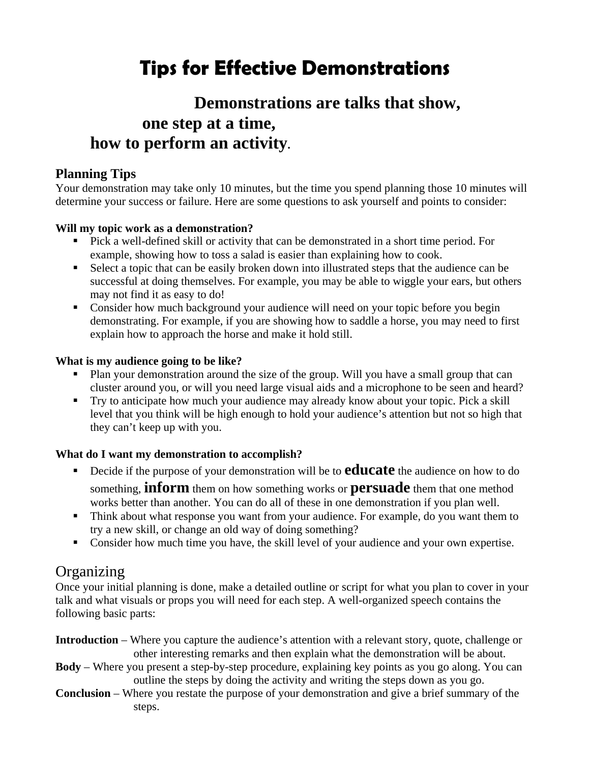# **Tips for Effective Demonstrations**

## **Demonstrations are talks that show, one step at a time, how to perform an activity.**

### **Planning Tips**

Your demonstration may take only 10 minutes, but the time you spend planning those 10 minutes will determine your success or failure. Here are some questions to ask yourself and points to consider:

#### **Will my topic work as a demonstration?**

- Pick a well-defined skill or activity that can be demonstrated in a short time period. For example, showing how to toss a salad is easier than explaining how to cook.
- Select a topic that can be easily broken down into illustrated steps that the audience can be successful at doing themselves. For example, you may be able to wiggle your ears, but others may not find it as easy to do!
- **Consider how much background your audience will need on your topic before you begin** demonstrating. For example, if you are showing how to saddle a horse, you may need to first explain how to approach the horse and make it hold still.

#### **What is my audience going to be like?**

- Plan your demonstration around the size of the group. Will you have a small group that can cluster around you, or will you need large visual aids and a microphone to be seen and heard?
- Try to anticipate how much your audience may already know about your topic. Pick a skill level that you think will be high enough to hold your audience's attention but not so high that they can't keep up with you.

#### **What do I want my demonstration to accomplish?**

- **Decide if the purpose of your demonstration will be to <b>educate** the audience on how to do something, **inform** them on how something works or **persuade** them that one method works better than another. You can do all of these in one demonstration if you plan well.
- Think about what response you want from your audience. For example, do you want them to try a new skill, or change an old way of doing something?
- Consider how much time you have, the skill level of your audience and your own expertise.

## **Organizing**

Once your initial planning is done, make a detailed outline or script for what you plan to cover in your talk and what visuals or props you will need for each step. A well-organized speech contains the following basic parts:

- **Introduction** Where you capture the audience's attention with a relevant story, quote, challenge or other interesting remarks and then explain what the demonstration will be about.
- **Body** Where you present a step-by-step procedure, explaining key points as you go along. You can outline the steps by doing the activity and writing the steps down as you go.
- **Conclusion** Where you restate the purpose of your demonstration and give a brief summary of the steps.